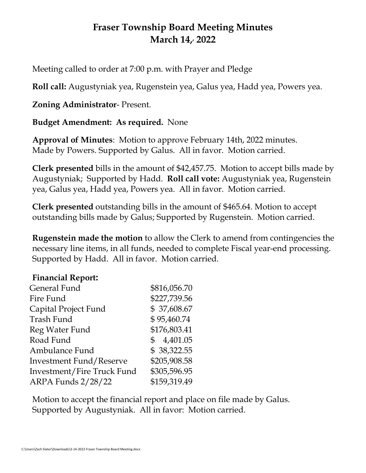# **Fraser Township Board Meeting Minutes March 14, , 2022**

Meeting called to order at 7:00 p.m. with Prayer and Pledge

**Roll call:** Augustyniak yea, Rugenstein yea, Galus yea, Hadd yea, Powers yea.

## **Zoning Administrator**- Present.

### **Budget Amendment: As required.** None

**Approval of Minutes**: Motion to approve February 14th, 2022 minutes. Made by Powers. Supported by Galus. All in favor. Motion carried.

**Clerk presented** bills in the amount of \$42,457.75. Motion to accept bills made by Augustyniak; Supported by Hadd. **Roll call vote:** Augustyniak yea, Rugenstein yea, Galus yea, Hadd yea, Powers yea. All in favor. Motion carried.

**Clerk presented** outstanding bills in the amount of \$465.64. Motion to accept outstanding bills made by Galus; Supported by Rugenstein. Motion carried.

**Rugenstein made the motion** to allow the Clerk to amend from contingencies the necessary line items, in all funds, needed to complete Fiscal year-end processing. Supported by Hadd. All in favor. Motion carried.

#### **Financial Report:**

| General Fund                   | \$816,056.70               |
|--------------------------------|----------------------------|
| Fire Fund                      | \$227,739.56               |
| Capital Project Fund           | \$37,608.67                |
| Trash Fund                     | \$95,460.74                |
| Reg Water Fund                 | \$176,803.41               |
| Road Fund                      | 4,401.05<br>$\mathbb{S}^-$ |
| Ambulance Fund                 | \$38,322.55                |
| <b>Investment Fund/Reserve</b> | \$205,908.58               |
| Investment/Fire Truck Fund     | \$305,596.95               |
| <b>ARPA Funds 2/28/22</b>      | \$159,319.49               |

Motion to accept the financial report and place on file made by Galus. Supported by Augustyniak. All in favor: Motion carried.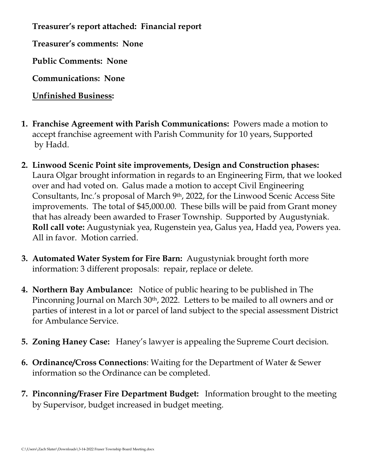**Treasurer's report attached: Financial report**

**Treasurer's comments: None**

**Public Comments: None**

**Communications: None**

**Unfinished Business:** 

- **1. Franchise Agreement with Parish Communications:** Powers made a motion to accept franchise agreement with Parish Community for 10 years, Supported by Hadd.
- **2. Linwood Scenic Point site improvements, Design and Construction phases:**  Laura Olgar brought information in regards to an Engineering Firm, that we looked over and had voted on. Galus made a motion to accept Civil Engineering Consultants, Inc.'s proposal of March 9th, 2022, for the Linwood Scenic Access Site improvements. The total of \$45,000.00. These bills will be paid from Grant money that has already been awarded to Fraser Township. Supported by Augustyniak. **Roll call vote:** Augustyniak yea, Rugenstein yea, Galus yea, Hadd yea, Powers yea. All in favor. Motion carried.
- **3. Automated Water System for Fire Barn:** Augustyniak brought forth more information: 3 different proposals: repair, replace or delete.
- **4. Northern Bay Ambulance:** Notice of public hearing to be published in The Pinconning Journal on March 30<sup>th</sup>, 2022. Letters to be mailed to all owners and or parties of interest in a lot or parcel of land subject to the special assessment District for Ambulance Service.
- **5. Zoning Haney Case:** Haney's lawyer is appealing the Supreme Court decision.
- **6. Ordinance/Cross Connections**: Waiting for the Department of Water & Sewer information so the Ordinance can be completed.
- **7. Pinconning/Fraser Fire Department Budget:** Information brought to the meeting by Supervisor, budget increased in budget meeting.